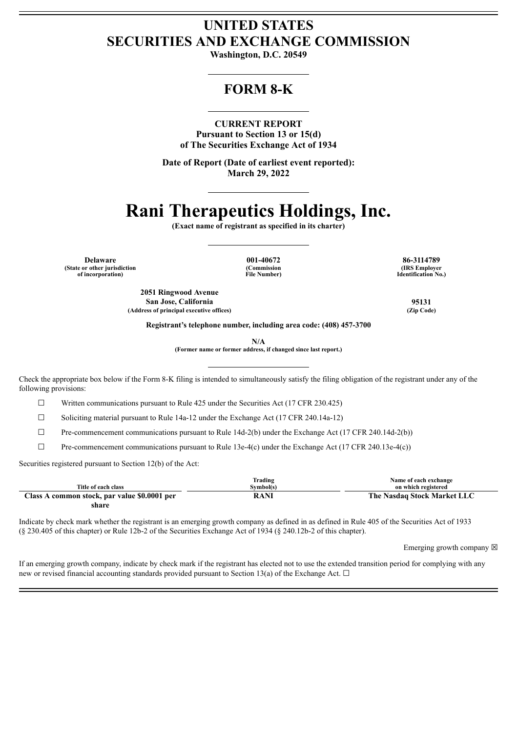# **UNITED STATES SECURITIES AND EXCHANGE COMMISSION**

**Washington, D.C. 20549**

# **FORM 8-K**

# **CURRENT REPORT**

**Pursuant to Section 13 or 15(d) of The Securities Exchange Act of 1934**

**Date of Report (Date of earliest event reported): March 29, 2022**

# **Rani Therapeutics Holdings, Inc.**

**(Exact name of registrant as specified in its charter)**

**Delaware 001-40672 86-3114789 (State or other jurisdiction of incorporation)**

**(Commission File Number)**

**(IRS Employer Identification No.)**

**2051 Ringwood Avenue San Jose, California 95131 (Address of principal executive offices) (Zip Code)**

**Registrant's telephone number, including area code: (408) 457-3700**

**N/A**

**(Former name or former address, if changed since last report.)**

Check the appropriate box below if the Form 8-K filing is intended to simultaneously satisfy the filing obligation of the registrant under any of the following provisions:

☐ Written communications pursuant to Rule 425 under the Securities Act (17 CFR 230.425)

☐ Soliciting material pursuant to Rule 14a-12 under the Exchange Act (17 CFR 240.14a-12)

 $\Box$  Pre-commencement communications pursuant to Rule 14d-2(b) under the Exchange Act (17 CFR 240.14d-2(b))

☐ Pre-commencement communications pursuant to Rule 13e-4(c) under the Exchange Act (17 CFR 240.13e-4(c))

Securities registered pursuant to Section 12(b) of the Act:

| Title of each class                          | Trading<br>Svmbol(s) | Name of each exchange<br>on which registered |
|----------------------------------------------|----------------------|----------------------------------------------|
| Class A common stock, par value \$0.0001 per | RANI                 | The Nasdaq Stock Market LLC                  |
| share                                        |                      |                                              |

Indicate by check mark whether the registrant is an emerging growth company as defined in as defined in Rule 405 of the Securities Act of 1933 (§ 230.405 of this chapter) or Rule 12b-2 of the Securities Exchange Act of 1934 (§ 240.12b-2 of this chapter).

Emerging growth company  $\boxtimes$ 

If an emerging growth company, indicate by check mark if the registrant has elected not to use the extended transition period for complying with any new or revised financial accounting standards provided pursuant to Section 13(a) of the Exchange Act.  $\Box$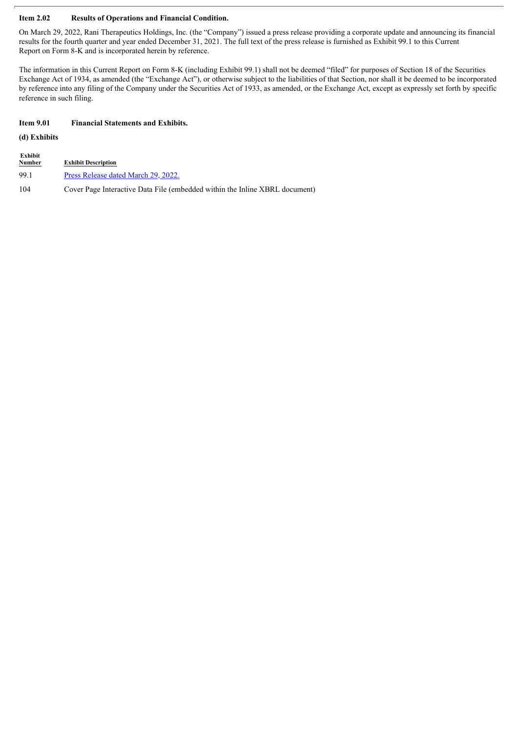# **Item 2.02 Results of Operations and Financial Condition.**

On March 29, 2022, Rani Therapeutics Holdings, Inc. (the "Company") issued a press release providing a corporate update and announcing its financial results for the fourth quarter and year ended December 31, 2021. The full text of the press release is furnished as Exhibit 99.1 to this Current Report on Form 8-K and is incorporated herein by reference.

The information in this Current Report on Form 8-K (including Exhibit 99.1) shall not be deemed "filed" for purposes of Section 18 of the Securities Exchange Act of 1934, as amended (the "Exchange Act"), or otherwise subject to the liabilities of that Section, nor shall it be deemed to be incorporated by reference into any filing of the Company under the Securities Act of 1933, as amended, or the Exchange Act, except as expressly set forth by specific reference in such filing.

# **Item 9.01 Financial Statements and Exhibits.**

# **(d) Exhibits**

| Exhibit<br><u>Number</u> | <b>Exhibit Description</b>                                                  |
|--------------------------|-----------------------------------------------------------------------------|
| 991                      | Press Release dated March 29, 2022.                                         |
| 104                      | Cover Page Interactive Data File (embedded within the Inline XBRL document) |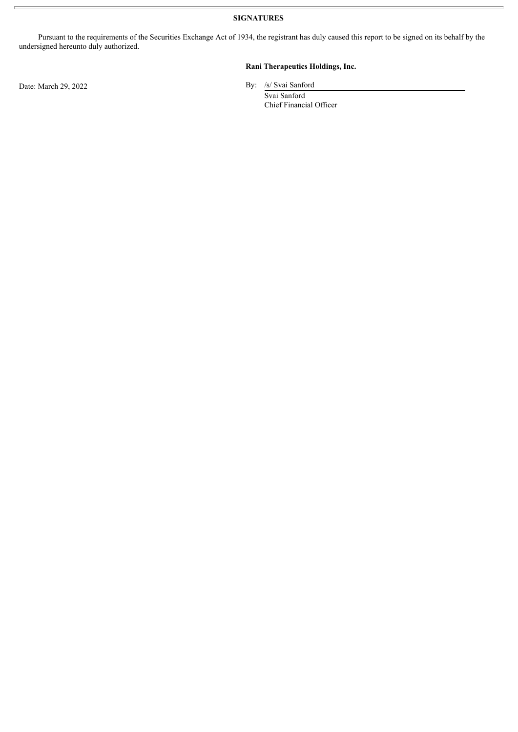**SIGNATURES**

Pursuant to the requirements of the Securities Exchange Act of 1934, the registrant has duly caused this report to be signed on its behalf by the undersigned hereunto duly authorized.

# **Rani Therapeutics Holdings, Inc.**

Svai Sanford Chief Financial Officer

Date: March 29, 2022 By: /s/ Svai Sanford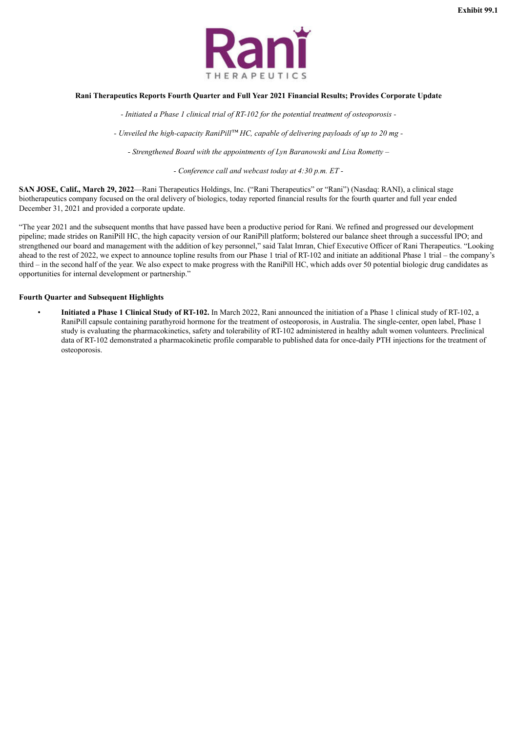

#### <span id="page-3-0"></span>**Rani Therapeutics Reports Fourth Quarter and Full Year 2021 Financial Results; Provides Corporate Update**

*- Initiated a Phase 1 clinical trial of RT-102 for the potential treatment of osteoporosis -*

*- Unveiled the high-capacity RaniPill™ HC, capable of delivering payloads of up to 20 mg -*

*- Strengthened Board with the appointments of Lyn Baranowski and Lisa Rometty –*

*- Conference call and webcast today at 4:30 p.m. ET -*

**SAN JOSE, Calif., March 29, 2022**—Rani Therapeutics Holdings, Inc. ("Rani Therapeutics" or "Rani") (Nasdaq: RANI), a clinical stage biotherapeutics company focused on the oral delivery of biologics, today reported financial results for the fourth quarter and full year ended December 31, 2021 and provided a corporate update.

"The year 2021 and the subsequent months that have passed have been a productive period for Rani. We refined and progressed our development pipeline; made strides on RaniPill HC, the high capacity version of our RaniPill platform; bolstered our balance sheet through a successful IPO; and strengthened our board and management with the addition of key personnel," said Talat Imran, Chief Executive Officer of Rani Therapeutics. "Looking ahead to the rest of 2022, we expect to announce topline results from our Phase 1 trial of RT-102 and initiate an additional Phase 1 trial – the company's third – in the second half of the year. We also expect to make progress with the RaniPill HC, which adds over 50 potential biologic drug candidates as opportunities for internal development or partnership."

#### **Fourth Quarter and Subsequent Highlights**

• **Initiated a Phase 1 Clinical Study of RT-102.** In March 2022, Rani announced the initiation of a Phase 1 clinical study of RT-102, a RaniPill capsule containing parathyroid hormone for the treatment of osteoporosis, in Australia. The single-center, open label, Phase 1 study is evaluating the pharmacokinetics, safety and tolerability of RT-102 administered in healthy adult women volunteers. Preclinical data of RT-102 demonstrated a pharmacokinetic profile comparable to published data for once-daily PTH injections for the treatment of osteoporosis.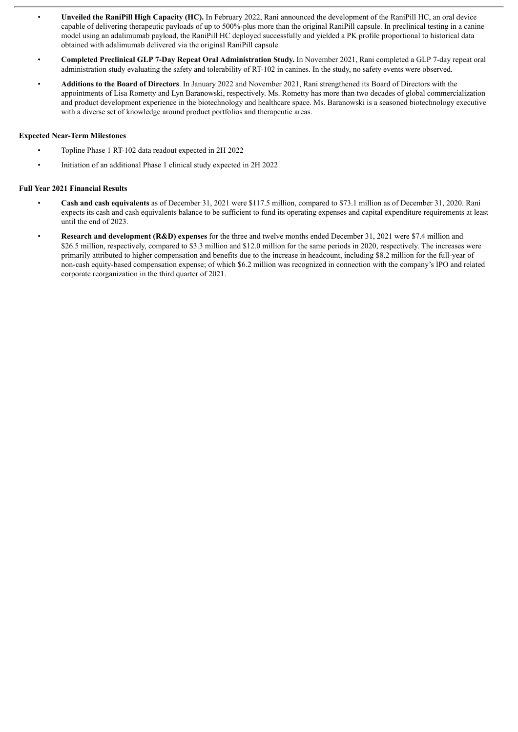- **Unveiled the RaniPill High Capacity (HC).** In February 2022, Rani announced the development of the RaniPill HC, an oral device capable of delivering therapeutic payloads of up to 500%-plus more than the original RaniPill capsule. In preclinical testing in a canine model using an adalimumab payload, the RaniPill HC deployed successfully and yielded a PK profile proportional to historical data obtained with adalimumab delivered via the original RaniPill capsule.
- **Completed Preclinical GLP 7-Day Repeat Oral Administration Study.** In November 2021, Rani completed a GLP 7-day repeat oral administration study evaluating the safety and tolerability of RT-102 in canines. In the study, no safety events were observed.
- **Additions to the Board of Directors**. In January 2022 and November 2021, Rani strengthened its Board of Directors with the appointments of Lisa Rometty and Lyn Baranowski, respectively. Ms. Rometty has more than two decades of global commercialization and product development experience in the biotechnology and healthcare space. Ms. Baranowski is a seasoned biotechnology executive with a diverse set of knowledge around product portfolios and therapeutic areas.

# **Expected Near-Term Milestones**

- Topline Phase 1 RT-102 data readout expected in 2H 2022
- Initiation of an additional Phase 1 clinical study expected in 2H 2022

# **Full Year 2021 Financial Results**

- **Cash and cash equivalents** as of December 31, 2021 were \$117.5 million, compared to \$73.1 million as of December 31, 2020. Rani expects its cash and cash equivalents balance to be sufficient to fund its operating expenses and capital expenditure requirements at least until the end of 2023.
- **Research and development (R&D) expenses** for the three and twelve months ended December 31, 2021 were \$7.4 million and \$26.5 million, respectively, compared to \$3.3 million and \$12.0 million for the same periods in 2020, respectively. The increases were primarily attributed to higher compensation and benefits due to the increase in headcount, including \$8.2 million for the full-year of non-cash equity-based compensation expense; of which \$6.2 million was recognized in connection with the company's IPO and related corporate reorganization in the third quarter of 2021.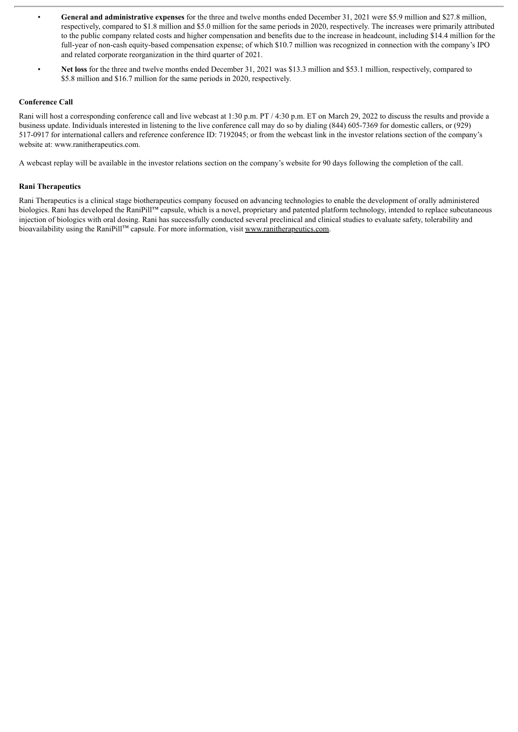- **General and administrative expenses** for the three and twelve months ended December 31, 2021 were \$5.9 million and \$27.8 million, respectively, compared to \$1.8 million and \$5.0 million for the same periods in 2020, respectively. The increases were primarily attributed to the public company related costs and higher compensation and benefits due to the increase in headcount, including \$14.4 million for the full-year of non-cash equity-based compensation expense; of which \$10.7 million was recognized in connection with the company's IPO and related corporate reorganization in the third quarter of 2021.
- Net loss for the three and twelve months ended December 31, 2021 was \$13.3 million and \$53.1 million, respectively, compared to \$5.8 million and \$16.7 million for the same periods in 2020, respectively.

#### **Conference Call**

Rani will host a corresponding conference call and live webcast at 1:30 p.m. PT / 4:30 p.m. ET on March 29, 2022 to discuss the results and provide a business update. Individuals interested in listening to the live conference call may do so by dialing (844) 605-7369 for domestic callers, or (929) 517-0917 for international callers and reference conference ID: 7192045; or from the webcast link in the investor relations section of the company's website at: www.ranitherapeutics.com.

A webcast replay will be available in the investor relations section on the company's website for 90 days following the completion of the call.

#### **Rani Therapeutics**

Rani Therapeutics is a clinical stage biotherapeutics company focused on advancing technologies to enable the development of orally administered biologics. Rani has developed the RaniPill™ capsule, which is a novel, proprietary and patented platform technology, intended to replace subcutaneous injection of biologics with oral dosing. Rani has successfully conducted several preclinical and clinical studies to evaluate safety, tolerability and bioavailability using the RaniPill™ capsule. For more information, visit www.ranitherapeutics.com.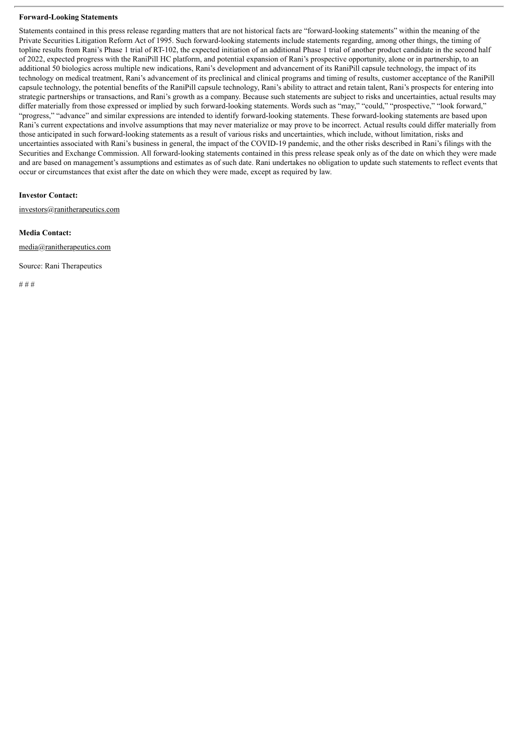#### **Forward-Looking Statements**

Statements contained in this press release regarding matters that are not historical facts are "forward-looking statements" within the meaning of the Private Securities Litigation Reform Act of 1995. Such forward-looking statements include statements regarding, among other things, the timing of topline results from Rani's Phase 1 trial of RT-102, the expected initiation of an additional Phase 1 trial of another product candidate in the second half of 2022, expected progress with the RaniPill HC platform, and potential expansion of Rani's prospective opportunity, alone or in partnership, to an additional 50 biologics across multiple new indications, Rani's development and advancement of its RaniPill capsule technology, the impact of its technology on medical treatment, Rani's advancement of its preclinical and clinical programs and timing of results, customer acceptance of the RaniPill capsule technology, the potential benefits of the RaniPill capsule technology, Rani's ability to attract and retain talent, Rani's prospects for entering into strategic partnerships or transactions, and Rani's growth as a company. Because such statements are subject to risks and uncertainties, actual results may differ materially from those expressed or implied by such forward-looking statements. Words such as "may," "could," "prospective," "look forward," "progress," "advance" and similar expressions are intended to identify forward-looking statements. These forward-looking statements are based upon Rani's current expectations and involve assumptions that may never materialize or may prove to be incorrect. Actual results could differ materially from those anticipated in such forward-looking statements as a result of various risks and uncertainties, which include, without limitation, risks and uncertainties associated with Rani's business in general, the impact of the COVID-19 pandemic, and the other risks described in Rani's filings with the Securities and Exchange Commission. All forward-looking statements contained in this press release speak only as of the date on which they were made and are based on management's assumptions and estimates as of such date. Rani undertakes no obligation to update such statements to reflect events that occur or circumstances that exist after the date on which they were made, except as required by law.

### **Investor Contact:**

investors@ranitherapeutics.com

#### **Media Contact:**

media@ranitherapeutics.com

Source: Rani Therapeutics

# # #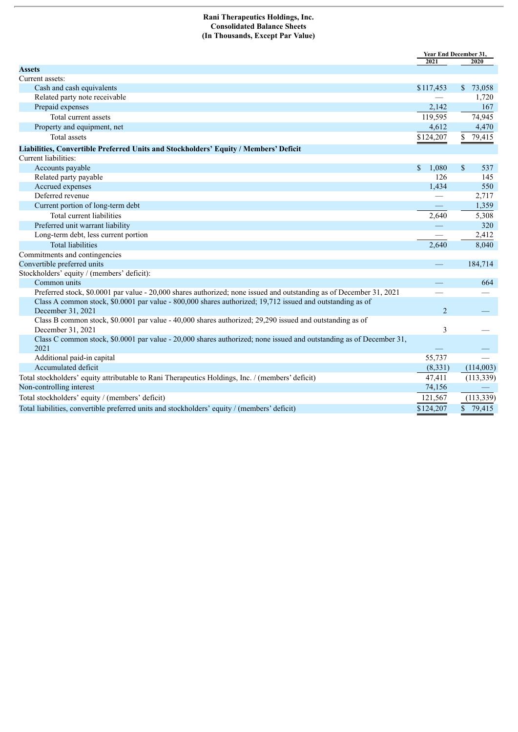#### **Rani Therapeutics Holdings, Inc. Consolidated Balance Sheets (In Thousands, Except Par Value)**

|                                                                                                                                | 2021           | <b>Year End December 31,</b> |            |  |
|--------------------------------------------------------------------------------------------------------------------------------|----------------|------------------------------|------------|--|
| <b>Assets</b>                                                                                                                  |                |                              | 2020       |  |
| Current assets:                                                                                                                |                |                              |            |  |
| Cash and cash equivalents                                                                                                      | \$117,453      |                              | \$73,058   |  |
| Related party note receivable                                                                                                  |                |                              | 1,720      |  |
| Prepaid expenses                                                                                                               | 2,142          |                              | 167        |  |
| Total current assets                                                                                                           | 119,595        |                              | 74,945     |  |
| Property and equipment, net                                                                                                    | 4,612          |                              | 4,470      |  |
| <b>Total assets</b>                                                                                                            | \$124,207      | \$                           | 79,415     |  |
| Liabilities, Convertible Preferred Units and Stockholders' Equity / Members' Deficit                                           |                |                              |            |  |
| Current liabilities:                                                                                                           |                |                              |            |  |
| Accounts payable                                                                                                               | \$<br>1,080    | $\mathbb{S}$                 | 537        |  |
| Related party payable                                                                                                          | 126            |                              | 145        |  |
| Accrued expenses                                                                                                               | 1,434          |                              | 550        |  |
| Deferred revenue                                                                                                               |                |                              | 2,717      |  |
| Current portion of long-term debt                                                                                              |                |                              | 1,359      |  |
| Total current liabilities                                                                                                      | 2,640          |                              | 5,308      |  |
| Preferred unit warrant liability                                                                                               |                |                              | 320        |  |
| Long-term debt, less current portion                                                                                           |                |                              | 2,412      |  |
| <b>Total liabilities</b>                                                                                                       | 2,640          |                              | 8,040      |  |
| Commitments and contingencies                                                                                                  |                |                              |            |  |
| Convertible preferred units                                                                                                    |                |                              | 184,714    |  |
| Stockholders' equity / (members' deficit):                                                                                     |                |                              |            |  |
| Common units                                                                                                                   |                |                              | 664        |  |
| Preferred stock, \$0.0001 par value - 20,000 shares authorized; none issued and outstanding as of December 31, 2021            |                |                              |            |  |
| Class A common stock, \$0.0001 par value - 800,000 shares authorized; 19,712 issued and outstanding as of<br>December 31, 2021 | $\overline{2}$ |                              |            |  |
| Class B common stock, \$0.0001 par value - 40,000 shares authorized; 29,290 issued and outstanding as of                       |                |                              |            |  |
| December 31, 2021                                                                                                              | 3              |                              |            |  |
| Class C common stock, \$0.0001 par value - 20,000 shares authorized; none issued and outstanding as of December 31,<br>2021    |                |                              |            |  |
| Additional paid-in capital                                                                                                     | 55,737         |                              |            |  |
| Accumulated deficit                                                                                                            | (8,331)        |                              | (114,003)  |  |
| Total stockholders' equity attributable to Rani Therapeutics Holdings, Inc. / (members' deficit)                               | 47,411         |                              | (113, 339) |  |
| Non-controlling interest                                                                                                       | 74,156         |                              |            |  |
| Total stockholders' equity / (members' deficit)                                                                                | 121,567        |                              | (113, 339) |  |
| Total liabilities, convertible preferred units and stockholders' equity / (members' deficit)                                   | \$124,207      |                              | \$79,415   |  |